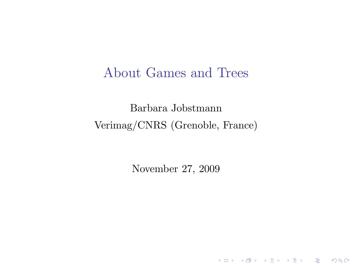### About Games and Trees

Barbara Jobstmann Verimag/CNRS (Grenoble, France)

<span id="page-0-0"></span>November 27, 2009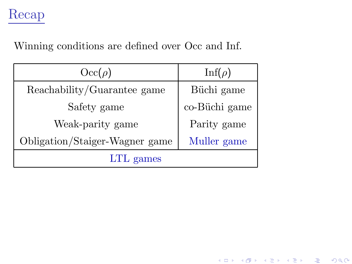## Recap

Winning conditions are defined over Occ and Inf.

| $\mathrm{Occ}(\rho)$           | $\text{Inf}(\rho)$ |  |
|--------------------------------|--------------------|--|
| Reachability/Guarantee game    | Büchi game         |  |
| Safety game                    | co-Büchi game      |  |
| Weak-parity game               | Parity game        |  |
| Obligation/Staiger-Wagner game | Muller game        |  |
| LTL games                      |                    |  |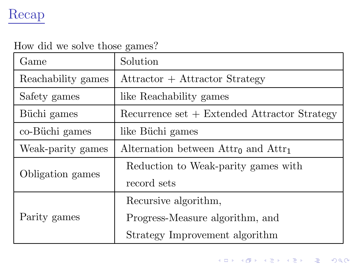## Recap

#### How did we solve those games?

| Game               | Solution                                                |  |
|--------------------|---------------------------------------------------------|--|
| Reachability games | Attractor + Attractor Strategy                          |  |
| Safety games       | like Reachability games                                 |  |
| Büchi games        | $Recurrence set + Extended Attraction Strategy$         |  |
| co-Büchi games     | like Büchi games                                        |  |
| Weak-parity games  | Alternation between $\text{Attr}_0$ and $\text{Attr}_1$ |  |
| Obligation games   | Reduction to Weak-parity games with                     |  |
|                    | record sets                                             |  |
|                    | Recursive algorithm,                                    |  |
| Parity games       | Progress-Measure algorithm, and                         |  |
|                    | Strategy Improvement algorithm                          |  |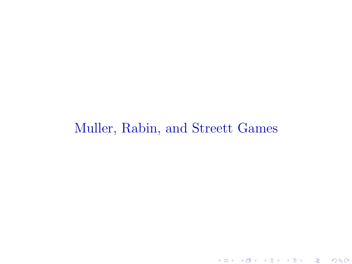## Muller, Rabin, and Streett Games

세미 시계 이 사람이 사람이 있을 것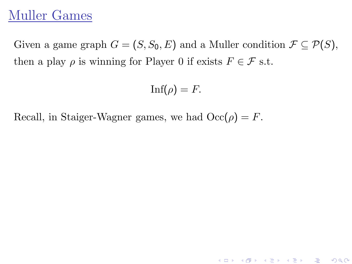## Muller Games

Given a game graph  $G = (S, S_0, E)$  and a Muller condition  $\mathcal{F} \subseteq \mathcal{P}(S)$ , then a play  $\rho$  is winning for Player 0 if exists  $F \in \mathcal{F}$  s.t.

$$
\text{Inf}(\rho) = F.
$$

K ロ > K ④ > K 플 > K 클 > 『 클 → 9 Q Q ·

Recall, in Staiger-Wagner games, we had  $\mathrm{Occ}(\rho) = F$ .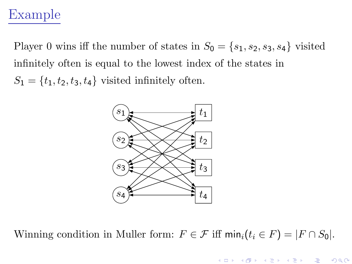## Example

Player 0 wins iff the number of states in  $S_0 = \{s_1, s_2, s_3, s_4\}$  visited infinitely often is equal to the lowest index of the states in  $S_1 = \{t_1, t_2, t_3, t_4\}$  visited infinitely often.



Winning condition in Muller form:  $F \in \mathcal{F}$  iff  $\min_i (t_i \in F) = |F \cap S_0|$ .

K ロ K K 御 K K B K K 환 K (唐 K ) (唐)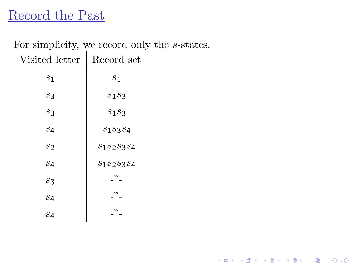## Record the Past

# For simplicity, we record only the s-states.

| Visited letter | Record set                                             |
|----------------|--------------------------------------------------------|
| $s_1$          | $s_1$                                                  |
| s <sub>3</sub> | $s_1s_3$                                               |
| s <sub>3</sub> | $s_1s_3$                                               |
| S <sub>4</sub> | $s_1s_3s_4$                                            |
| s <sub>2</sub> | $s_1s_2s_3s_4$                                         |
| S <sub>4</sub> | S1S2S3S4                                               |
| s <sub>3</sub> | $\overline{\phantom{a}}^{22}$ $\overline{\phantom{a}}$ |
| S <sub>4</sub> | "                                                      |
| S <sub>4</sub> | "                                                      |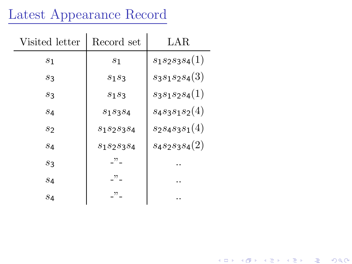## Latest Appearance Record

| Visited letter | Record set                      | LAR.              |
|----------------|---------------------------------|-------------------|
| $\mathcal{S}1$ | $s_1$                           | $s_1s_2s_3s_4(1)$ |
| S3             | $s_1s_3$                        | $s_3s_1s_2s_4(3)$ |
| $s_3$          | $s_1s_3$                        | $s_3s_1s_2s_4(1)$ |
| S <sub>4</sub> | $S_1S_3S_4$                     | $s_4s_3s_1s_2(4)$ |
| S7             | $s_1s_2s_3s_4$                  | $s_2s_4s_3s_1(4)$ |
| 84             | S1S2S3S4                        | $s_4s_2s_3s_4(2)$ |
| $s_3$          | $\rightarrow$                   |                   |
| S <sub>4</sub> | $\cdot$ , , , , , , , , , , , , |                   |
| s <sub>4</sub> | , 22                            |                   |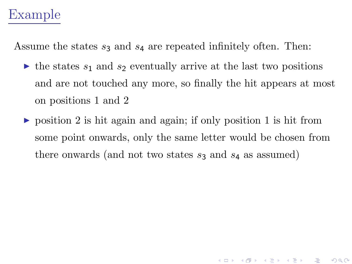## Example

Assume the states  $s_3$  and  $s_4$  are repeated infinitely often. Then:

- $\triangleright$  the states  $s_1$  and  $s_2$  eventually arrive at the last two positions and are not touched any more, so finally the hit appears at most on positions 1 and 2
- $\triangleright$  position 2 is hit again and again; if only position 1 is hit from some point onwards, only the same letter would be chosen from there onwards (and not two states  $s_3$  and  $s_4$  as assumed)

K ロ ▶ 《 *日* ▶ 《 경 ▶ 《 경 ▶ 》 《 경 》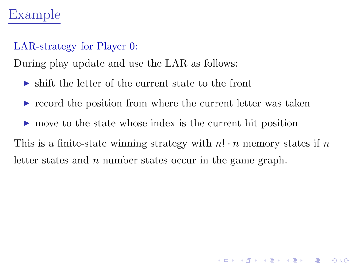## Example

#### LAR-strategy for Player 0:

During play update and use the LAR as follows:

- $\triangleright$  shift the letter of the current state to the front
- ► record the position from where the current letter was taken
- ► move to the state whose index is the current hit position

This is a finite-state winning strategy with  $n! \cdot n$  memory states if n letter states and n number states occur in the game graph.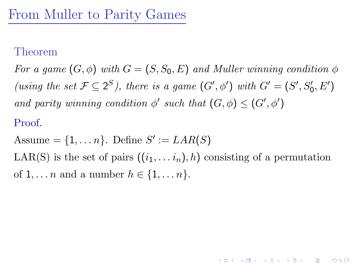#### Theorem

For a game  $(G, \phi)$  with  $G = (S, S_0, E)$  and Muller winning condition  $\phi$ (using the set  $\mathcal{F} \subseteq 2^S$ ), there is a game  $(G', \phi')$  with  $G' = (S', S'_0, E')$ and parity winning condition  $\phi'$  such that  $(G, \phi) \leq (G', \phi')$ 

#### Proof.

Assume  $= \{1, \ldots n\}$ . Define  $S' := LAR(S)$ 

LAR(S) is the set of pairs  $((i_1, \ldots i_n), h)$  consisting of a permutation of  $1, \ldots n$  and a number  $h \in \{1, \ldots n\}.$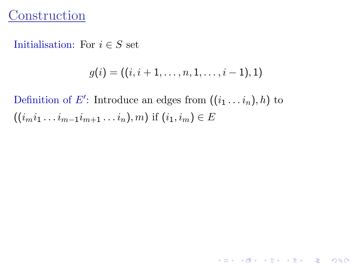### **Construction**

Initialisation: For  $i \in S$  set

$$
g(i) = ((i, i + 1, \ldots, n, 1, \ldots, i - 1), 1)
$$

Definition of E': Introduce an edges from  $((i_1 \ldots i_n), h)$  to  $((i_{m}i_{1}\ldots i_{m-1}i_{m+1}\ldots i_{n}),m)$  if  $(i_{1},i_{m})\in E$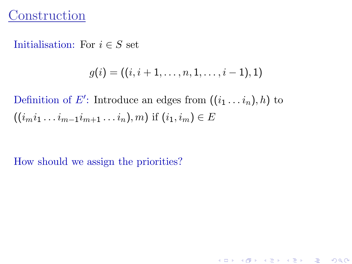### **Construction**

Initialisation: For  $i \in S$  set

$$
g(i) = ((i, i + 1, \ldots, n, 1, \ldots, i - 1), 1)
$$

K ロ > K ④ > K 플 > K 클 > 『 클 → 9 Q Q ·

Definition of E': Introduce an edges from  $((i_1 \ldots i_n), h)$  to  $((i_{m}i_{1}\ldots i_{m-1}i_{m+1}\ldots i_{n}),m)$  if  $(i_{1},i_{m})\in E$ 

How should we assign the priorities?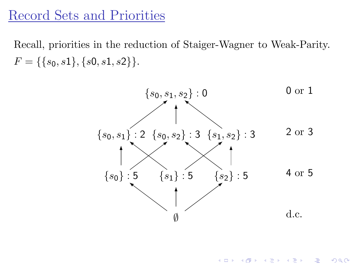### Record Sets and Priorities

Recall, priorities in the reduction of Staiger-Wagner to Weak-Parity.  $F = \{\{s_0, s_1\}, \{s_0, s_1, s_2\}\}.$ 



K ロ K K n ④ K K X 를 K K 를 K

つへへ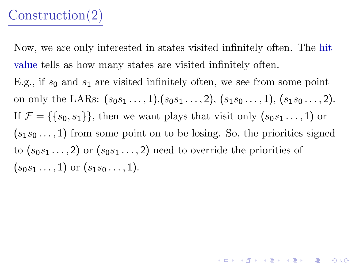## Construction(2)

Now, we are only interested in states visited infinitely often. The hit value tells as how many states are visited infinitely often. E.g., if  $s_0$  and  $s_1$  are visited infinitely often, we see from some point on only the LARs:  $(s_0s_1 \ldots, 1), (s_0s_1 \ldots, 2), (s_1s_0 \ldots, 1), (s_1s_0 \ldots, 2).$ If  $\mathcal{F} = \{\{s_0, s_1\}\}\$ , then we want plays that visit only  $(s_0s_1 \ldots, 1)$  or  $(s_1s_0 \ldots, 1)$  from some point on to be losing. So, the priorities signed to  $(s_0s_1\ldots, 2)$  or  $(s_0s_1\ldots, 2)$  need to override the priorities of  $(s_0s_1 \ldots, 1)$  or  $(s_1s_0 \ldots, 1)$ .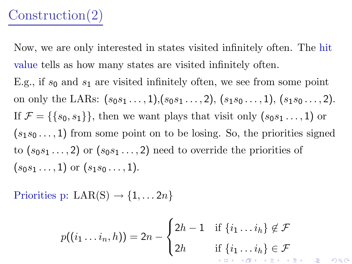## Construction(2)

Now, we are only interested in states visited infinitely often. The hit value tells as how many states are visited infinitely often. E.g., if  $s_0$  and  $s_1$  are visited infinitely often, we see from some point on only the LARs:  $(s_0s_1 \ldots, 1), (s_0s_1 \ldots, 2), (s_1s_0 \ldots, 1), (s_1s_0 \ldots, 2).$ If  $\mathcal{F} = \{\{s_0, s_1\}\}\$ , then we want plays that visit only  $(s_0s_1 \ldots, 1)$  or  $(s_1s_0 \ldots, 1)$  from some point on to be losing. So, the priorities signed to  $(s_0s_1\ldots, 2)$  or  $(s_0s_1\ldots, 2)$  need to override the priorities of  $(s_0s_1 \ldots, 1)$  or  $(s_1s_0 \ldots, 1)$ .

Priorities p:  $LAR(S) \rightarrow \{1, \ldots 2n\}$ 

$$
p((i_1 \ldots i_n, h)) = 2n - \begin{cases} 2h - 1 & \text{if } \{i_1 \ldots i_h\} \notin \mathcal{F} \\ 2h & \text{if } \{i_1 \ldots i_h\} \in \mathcal{F} \end{cases}
$$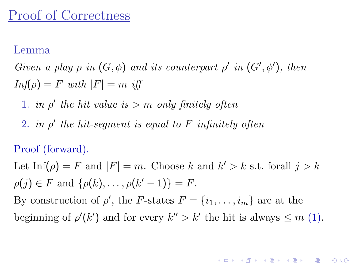### Proof of Correctness

#### Lemma

Given a play  $\rho$  in  $(G, \phi)$  and its counterpart  $\rho'$  in  $(G', \phi')$ , then  $Inf(\rho) = F$  with  $|F| = m$  iff

- 1. in  $\rho'$  the hit value is > m only finitely often
- 2. in  $\rho'$  the hit-segment is equal to  $F$  infinitely often

#### Proof (forward).

Let Inf( $\rho$ ) = F and  $|F| = m$ . Choose k and  $k' > k$  s.t. forall  $j > k$  $\rho(j) \in F$  and  $\{\rho(k), \ldots, \rho(k'-1)\} = F$ . By construction of  $\rho'$ , the F-states  $F = \{i_1, \ldots, i_m\}$  are at the beginning of  $\rho'(k')$  and for every  $k'' > k'$  the hit is always  $\leq m$  (1).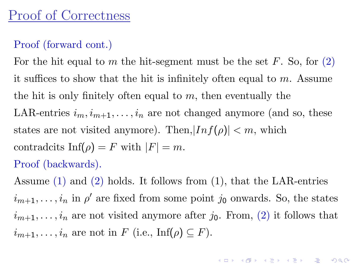### Proof (forward cont.)

For the hit equal to m the hit-segment must be the set  $F$ . So, for  $(2)$ it suffices to show that the hit is infinitely often equal to  $m$ . Assume the hit is only finitely often equal to  $m$ , then eventually the LAR-entries  $i_m, i_{m+1}, \ldots, i_n$  are not changed anymore (and so, these states are not visited anymore). Then,  $|Inf(\rho)| < m$ , which contradcits  $\text{Inf}(\rho) = F$  with  $|F| = m$ . Proof (backwards).

Assume (1) and (2) holds. It follows from (1), that the LAR-entries  $i_{m+1}, \ldots, i_n$  in  $\rho'$  are fixed from some point  $j_0$  onwards. So, the states  $i_{m+1}, \ldots, i_n$  are not visited anymore after  $j_0$ . From, (2) it follows that  $i_{m+1}, \ldots, i_n$  are not in F (i.e., Inf( $\rho$ )  $\subseteq$  F).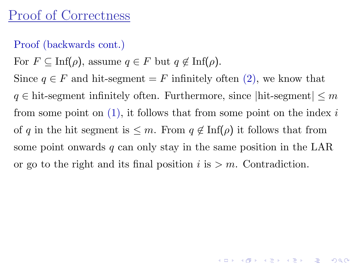## Proof of Correctness

#### Proof (backwards cont.)

For  $F \subseteq \text{Inf}(\rho)$ , assume  $q \in F$  but  $q \notin \text{Inf}(\rho)$ .

Since  $q \in F$  and hit-segment = F infinitely often (2), we know that  $q \in \text{hit-segment infinitely often. Furthermore, since } |$ hit-segment $| \leq m$ from some point on  $(1)$ , it follows that from some point on the index i of q in the hit segment is  $\leq m$ . From  $q \notin \text{Inf}(\rho)$  it follows that from some point onwards  $q$  can only stay in the same position in the LAR or go to the right and its final position  $i$  is  $>m$ . Contradiction.

K ロ ▶ ( K 마 X X + X 는 X 나는 X 나는 사용)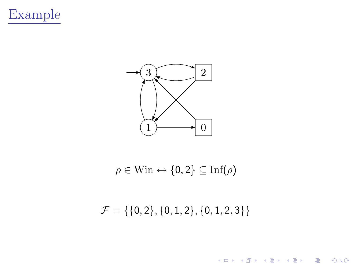



$$
\rho \in \text{Win} \leftrightarrow \{0, 2\} \subseteq \text{Inf}(\rho)
$$

 $\mathcal{F} = \{\{0,2\}, \{0,1,2\}, \{0,1,2,3\}\}\$ 

세미 시계 이 세계 시작에 사람이 있다는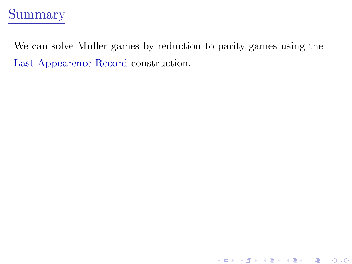

We can solve Muller games by reduction to parity games using the Last Appearence Record construction.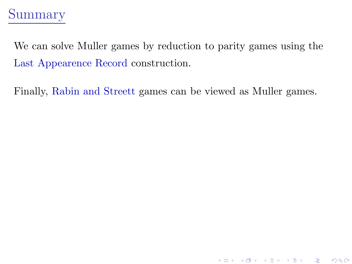## Summary

We can solve Muller games by reduction to parity games using the Last Appearence Record construction.

Finally, Rabin and Streett games can be viewed as Muller games.

K ロ > K ④ > K 플 > K 클 > 『 클 → 9 Q Q ·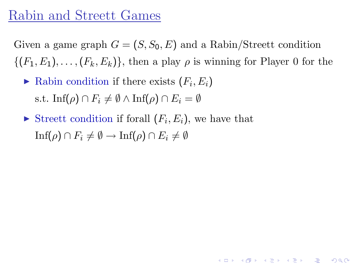### Rabin and Streett Games

Given a game graph  $G = (S, S_0, E)$  and a Rabin/Streett condition  $\{(F_1, E_1), \ldots, (F_k, E_k)\}\$ , then a play  $\rho$  is winning for Player 0 for the

- $\blacktriangleright$  Rabin condition if there exists  $(F_i, E_i)$ s.t. Inf( $\rho$ )  $\cap$   $F_i \neq \emptyset \wedge$  Inf( $\rho$ )  $\cap$   $E_i = \emptyset$
- <span id="page-22-0"></span>Streett condition if forall  $(F_i, E_i)$ , we have that  $\text{Inf}(\rho) \cap F_i \neq \emptyset \rightarrow \text{Inf}(\rho) \cap E_i \neq \emptyset$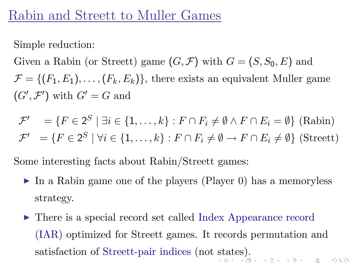### Rabin and Streett to Muller Games

Simple reduction:

Given a Rabin (or Streett) game  $(G, \mathcal{F})$  with  $G = (S, S_0, E)$  and  $\mathcal{F} = \{ (F_1, E_1), \ldots, (F_k, E_k) \},\$  there exists an equivalent Muller game  $(G', \mathcal{F}')$  with  $G' = G$  and

$$
\mathcal{F}' = \{ F \in 2^S \mid \exists i \in \{1, ..., k\} : F \cap F_i \neq \emptyset \land F \cap E_i = \emptyset \} \text{ (Rabin)}
$$
  

$$
\mathcal{F}' = \{ F \in 2^S \mid \forall i \in \{1, ..., k\} : F \cap F_i \neq \emptyset \to F \cap E_i \neq \emptyset \} \text{ (Street)}
$$

Some interesting facts about Rabin/Streett games:

- ► In a Rabin game one of the players (Player 0) has a memoryless strategy.
- <span id="page-23-0"></span>► There is a special record set called Index Appearance record (IAR) optimized for Streett games. It records permutation and satisfaction of Streett-pair indices (not [st](#page-22-0)[ate](#page-24-0)[s](#page-22-0)[\).](#page-23-0)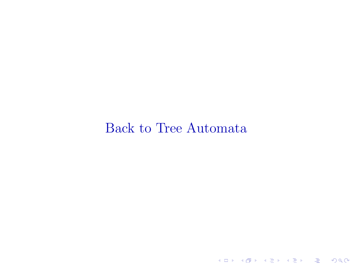### <span id="page-24-0"></span>Back to Tree Automata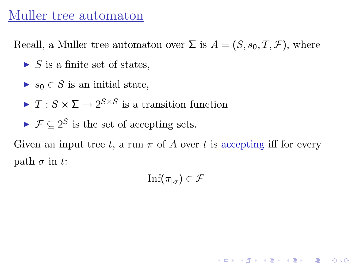### Muller tree automaton

Recall, a Muller tree automaton over  $\Sigma$  is  $A = (S, s_0, T, \mathcal{F})$ , where

- $\triangleright$  S is a finite set of states,
- $\blacktriangleright$  s<sub>0</sub>  $\in$  S is an initial state,
- $\blacktriangleright$   $T: S \times \Sigma \rightarrow 2^{S \times S}$  is a transition function
- $\blacktriangleright \mathcal{F} \subseteq 2^S$  is the set of accepting sets.

Given an input tree t, a run  $\pi$  of A over t is accepting iff for every path  $\sigma$  in t:

$$
\mathrm{Inf}(\pi_{|\sigma}) \in \mathcal{F}
$$

K ロ > K ④ > K 플 > K 클 > 『 클 → 9 Q Q ·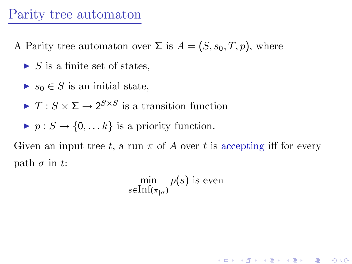### Parity tree automaton

A Parity tree automaton over  $\Sigma$  is  $A = (S, s_0, T, p)$ , where

- $\triangleright$  S is a finite set of states,
- $\blacktriangleright$  s<sub>0</sub>  $\in$  S is an initial state,
- $\blacktriangleright$   $T: S \times \Sigma \rightarrow 2^{S \times S}$  is a transition function
- $p: S \to \{0, \ldots k\}$  is a priority function.

Given an input tree t, a run  $\pi$  of A over t is accepting iff for every path  $\sigma$  in t:

$$
\min_{s \in \text{Inf}(\pi_{|\sigma})} p(s) \text{ is even}
$$

K ロ ▶ 《 *日* ▶ 《 경 ▶ 《 경 ▶ 》 《 경 》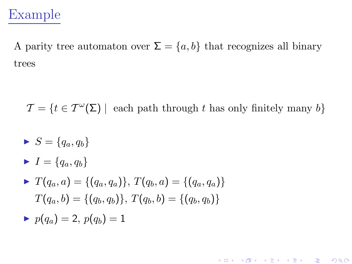## Example

A parity tree automaton over  $\Sigma = \{a, b\}$  that recognizes all binary trees

 $\mathcal{T} = \{t \in \mathcal{T}^{\omega}(\Sigma) \mid \text{ each path through } t \text{ has only finitely many } b\}$ 

- $S = \{q_a, q_b\}$
- $\blacktriangleright$   $I = \{q_a, q_b\}$
- $\blacktriangleright T(q_a, a) = \{(q_a, q_a)\}, T(q_b, a) = \{(q_a, q_a)\}\$  $T(q_a, b) = \{(q_b, q_b)\}, T(q_b, b) = \{(q_b, q_b)\}\$
- <span id="page-27-0"></span> $p(q_a) = 2, p(q_b) = 1$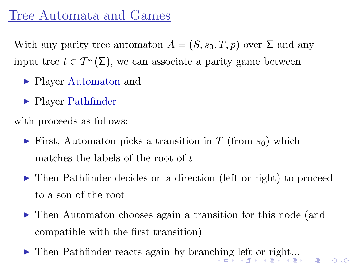## Tree Automata and Games

With any parity tree automaton  $A = (S, s_0, T, p)$  over  $\Sigma$  and any input tree  $t \in T^{\omega}(\Sigma)$ , we can associate a parity game between

- ► Player Automaton and
- ► Player Pathfinder

with proceeds as follows:

- $\triangleright$  First, Automaton picks a transition in T (from  $s_0$ ) which matches the labels of the root of t
- ▶ Then Pathfinder decides on a direction (left or right) to proceed to a son of the root
- ▶ Then Automaton chooses again a transition for this node (and compatible with the first transition)

 $E = 990$ 

<span id="page-28-0"></span>▶ Then Pathfinder reacts again by branc[hin](#page-27-0)[g](#page-29-0) [le](#page-27-0)[ft](#page-28-0) [o](#page-29-0)[r r](#page-0-0)[ig](#page-41-0)[ht.](#page-0-0)[..](#page-41-0)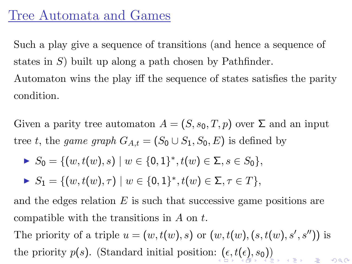## Tree Automata and Games

Such a play give a sequence of transitions (and hence a sequence of states in  $S$ ) built up along a path chosen by Pathfinder.

Automaton wins the play iff the sequence of states satisfies the parity condition.

Given a parity tree automaton  $A = (S, s_0, T, p)$  over  $\Sigma$  and an input tree t, the game graph  $G_{A,t} = (S_0 \cup S_1, S_0, E)$  is defined by

$$
\blacktriangleright S_0 = \{ (w, t(w), s) \mid w \in \{0, 1\}^*, t(w) \in \Sigma, s \in S_0 \},
$$

$$
\blacktriangleright S_1 = \{ (w, t(w), \tau) \mid w \in \{0, 1\}^*, t(w) \in \Sigma, \tau \in T \},\
$$

and the edges relation  $E$  is such that successive game positions are compatible with the transitions in A on t.

<span id="page-29-0"></span>The priority of a triple  $u = (w, t(w), s)$  or  $(w, t(w), (s, t(w), s', s''))$  is the priority  $p(s)$  $p(s)$  $p(s)$  $p(s)$ . (Standard initial position:  $(\epsilon, t(\epsilon), s_0)$  $(\epsilon, t(\epsilon), s_0)$  $(\epsilon, t(\epsilon), s_0)$  $(\epsilon, t(\epsilon), s_0)$  $(\epsilon, t(\epsilon), s_0)$  $(\epsilon, t(\epsilon), s_0)$  $(\epsilon, t(\epsilon), s_0)$ )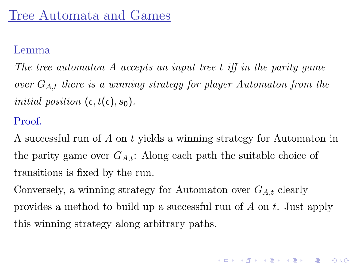#### Lemma

The tree automaton A accepts an input tree t iff in the parity game over  $G_{A,t}$  there is a winning strategy for player Automaton from the initial position  $(\epsilon, t(\epsilon), s_0)$ .

#### Proof.

A successful run of A on t yields a winning strategy for Automaton in the parity game over  $G_{A,t}$ : Along each path the suitable choice of transitions is fixed by the run.

<span id="page-30-0"></span>Conversely, a winning strategy for Automaton over  $G_{A,t}$  clearly provides a method to build up a successful run of A on t. Just apply this winning strategy along arbitrary paths.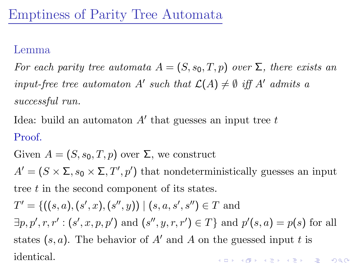#### Lemma

For each parity tree automata  $A = (S, s_0, T, p)$  over  $\Sigma$ , there exists an input-free tree automaton A' such that  $\mathcal{L}(A) \neq \emptyset$  iff A' admits a successful run.

Idea: build an automaton  $A'$  that guesses an input tree  $t$ Proof.

Given  $A = (S, s_0, T, p)$  over  $\Sigma$ , we construct  $A' = (S \times \Sigma, s_0 \times \Sigma, T', p')$  that nondeterministically guesses an input tree t in the second component of its states.  $T' = \{ ((s, a), (s', x), (s'', y)) \mid (s, a, s', s'') \in T \text{ and }$  $\exists p, p', r, r' : (s', x, p, p') \text{ and } (s'', y, r, r') \in T$  and  $p'(s, a) = p(s)$  for all states  $(s, a)$ . The behavior of A' and A on the guessed input t is identical.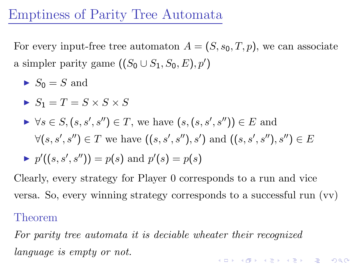## Emptiness of Parity Tree Automata

For every input-free tree automaton  $A = (S, s_0, T, p)$ , we can associate a simpler parity game  $((S_0 \cup S_1, S_0, E), p')$ 

 $\blacktriangleright S_0 = S$  and

$$
\blacktriangleright S_1 = T = S \times S \times S
$$

▶ 
$$
\forall s \in S, (s, s', s'') \in T
$$
, we have  $(s, (s, s', s'')) \in E$  and  
 $\forall (s, s', s'') \in T$  we have  $((s, s', s''), s')$  and  $((s, s', s''), s'') \in E$   
▶  $p'((s, s', s'')) = p(s)$  and  $p'(s) = p(s)$ 

Clearly, every strategy for Player 0 corresponds to a run and vice versa. So, every winning strategy corresponds to a successful run (vv) Theorem

For parity tree automata it is deciable wheater their recognized language is empty or not.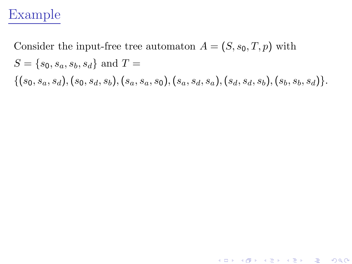## Example

Consider the input-free tree automaton  $A = (S, s_0, T, p)$  with  $S = \{s_0, s_a, s_b, s_d\}$  and  $T =$  $\{(s_0, s_a, s_d), (s_0, s_d, s_b), (s_a, s_a, s_0), (s_a, s_d, s_a), (s_d, s_d, s_b), (s_b, s_b, s_d)\}.$ 

K ロ ▶ 〈 *同* ▶ 〈 결 ▶ 〈 결 ▶ │ 결

 $\Omega$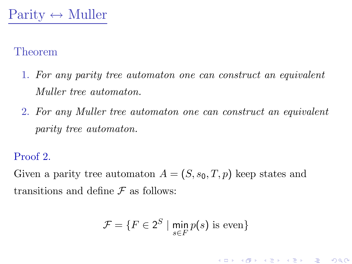#### Theorem

- 1. For any parity tree automaton one can construct an equivalent Muller tree automaton.
- 2. For any Muller tree automaton one can construct an equivalent parity tree automaton.

#### Proof 2.

Given a parity tree automaton  $A = (S, s_0, T, p)$  keep states and transitions and define  $\mathcal F$  as follows:

$$
\mathcal{F} = \{ F \in 2^S \mid \min_{s \in F} p(s) \text{ is even} \}
$$

K ロ > K ④ > K 플 > K 클 > 『 클 → 9 Q Q ·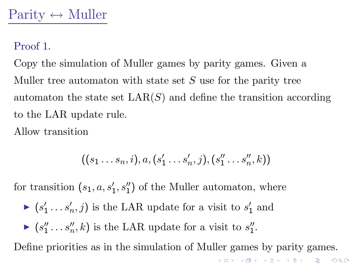#### Proof 1.

Copy the simulation of Muller games by parity games. Given a Muller tree automaton with state set  $S$  use for the parity tree automaton the state set  $\text{LAR}(S)$  and define the transition according to the LAR update rule.

Allow transition

$$
((s_1 \ldots s_n, i), a, (s'_1 \ldots s'_n, j), (s''_1 \ldots s''_n, k))
$$

for transition  $(s_1, a, s'_1, s''_1)$  of the Muller automaton, where

- $\blacktriangleright$   $(s'_1 \ldots s'_n, j)$  is the LAR update for a visit to  $s'_1$  and
- $\blacktriangleright$   $(s''_1 \ldots s''_n, k)$  is the LAR update for a visit to  $s''_1$ .

Define priorities as in the simulation of Muller games by parity games.

K □ ▶ K ④ ▶ K 혼 ▶ K 혼 ▶ ○ 혼 │ ◆ ⊙ Q ⊙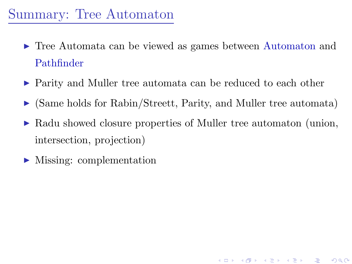## Summary: Tree Automaton

- ► Tree Automata can be viewed as games between Automaton and Pathfinder
- ▶ Parity and Muller tree automata can be reduced to each other
- $\triangleright$  (Same holds for Rabin/Streett, Parity, and Muller tree automata)
- $\triangleright$  Radu showed closure properties of Muller tree automaton (union, intersection, projection)

<span id="page-36-0"></span>▶ Missing: complementation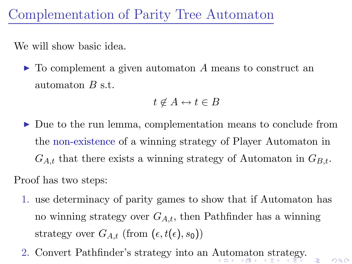We will show basic idea.

 $\triangleright$  To complement a given automaton A means to construct an automaton B s.t.

$$
t \not\in A \leftrightarrow t \in B
$$

► Due to the run lemma, complementation means to conclude from the non-existence of a winning strategy of Player Automaton in  $G_{A,t}$  that there exists a winning strategy of Automaton in  $G_{B,t}$ .

Proof has two steps:

1. use determinacy of parity games to show that if Automaton has no winning strategy over  $G_{A,t}$ , then Pathfinder has a winning strategy over  $G_{A,t}$  (from  $(\epsilon, t(\epsilon), s_0)$ )

毒。

 $QQ$ 

<span id="page-37-0"></span>2. Convert Pathfinder's strategy into an [Au](#page-36-0)[to](#page-38-0)[m](#page-36-0)[at](#page-37-0)[o](#page-38-0)[n s](#page-0-0)[tra](#page-41-0)[te](#page-0-0)[gy.](#page-41-0)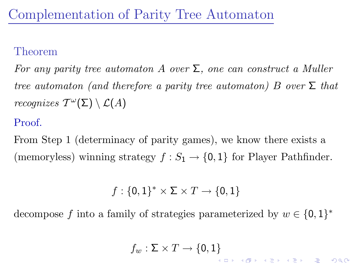#### Theorem

For any parity tree automaton A over  $\Sigma$ , one can construct a Muller tree automaton (and therefore a parity tree automaton) B over  $\Sigma$  that recognizes  $T^{\omega}(\Sigma) \setminus \mathcal{L}(A)$ 

#### Proof.

From Step 1 (determinacy of parity games), we know there exists a (memoryless) winning strategy  $f : S_1 \to \{0, 1\}$  for Player Pathfinder.

$$
f:\{0,1\}^*\times \Sigma\times T\to \{0,1\}
$$

<span id="page-38-0"></span>decompose f into a family of strategies parameterized by  $w \in \{0,1\}^*$ 

$$
f_w:\Sigma\times T\to\{0,1\}
$$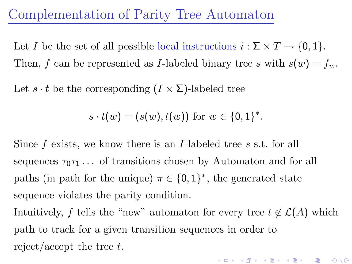Let I be the set of all possible local instructions  $i : \Sigma \times T \to \{0,1\}.$ Then, f can be represented as I-labeled binary tree s with  $s(w) = f_w$ .

Let  $s \cdot t$  be the corresponding  $(I \times \Sigma)$ -labeled tree

 $s \cdot t(w) = (s(w), t(w))$  for  $w \in \{0, 1\}^*$ .

Since  $f$  exists, we know there is an *I*-labeled tree  $s$  s.t. for all sequences  $\tau_0\tau_1\ldots$  of transitions chosen by Automaton and for all paths (in path for the unique)  $\pi \in \{0,1\}^*$ , the generated state sequence violates the parity condition.

Intuitively, f tells the "new" automaton for every tree  $t \notin \mathcal{L}(A)$  which path to track for a given transition sequences in order to reject/accept the tree  $t$ .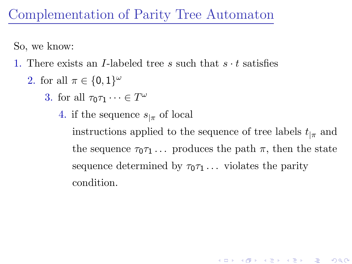So, we know:

- 1. There exists an I-labeled tree s such that  $s \cdot t$  satisfies
	- 2. for all  $\pi \in \{0,1\}^{\omega}$ 
		- 3. for all  $\tau_0 \tau_1 \cdots \in T^{\omega}$ 
			- 4. if the sequence  $s_{\vert \pi}$  of local

instructions applied to the sequence of tree labels  $t_{\vert \pi}$  and the sequence  $\tau_0 \tau_1 \ldots$  produces the path  $\pi$ , then the state sequence determined by  $\tau_0\tau_1 \ldots$  violates the parity condition.